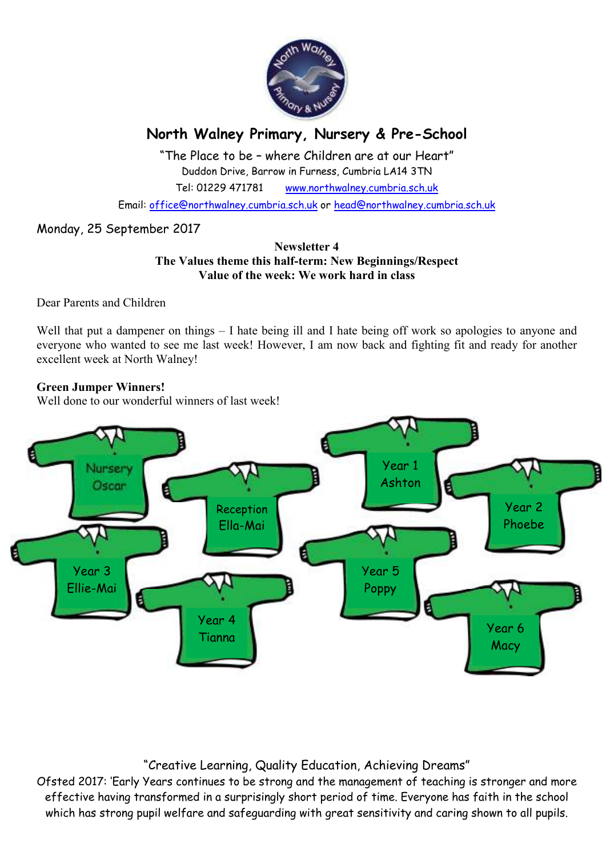

# **North Walney Primary, Nursery & Pre-School**

"The Place to be – where Children are at our Heart" Duddon Drive, Barrow in Furness, Cumbria LA14 3TN Tel: 01229 471781 www.northwalney.cumbria.sch.uk

Email: office@northwalney.cumbria.sch.uk or head@northwalney.cumbria.sch.uk

## Monday, 25 September 2017

#### **Newsletter 4 The Values theme this half-term: New Beginnings/Respect Value of the week: We work hard in class**

Dear Parents and Children

Well that put a dampener on things – I hate being ill and I hate being off work so apologies to anyone and everyone who wanted to see me last week! However, I am now back and fighting fit and ready for another excellent week at North Walney!

### **Green Jumper Winners!**

Well done to our wonderful winners of last week!



# "Creative Learning, Quality Education, Achieving Dreams"

Ofsted 2017: 'Early Years continues to be strong and the management of teaching is stronger and more effective having transformed in a surprisingly short period of time. Everyone has faith in the school which has strong pupil welfare and safeguarding with great sensitivity and caring shown to all pupils.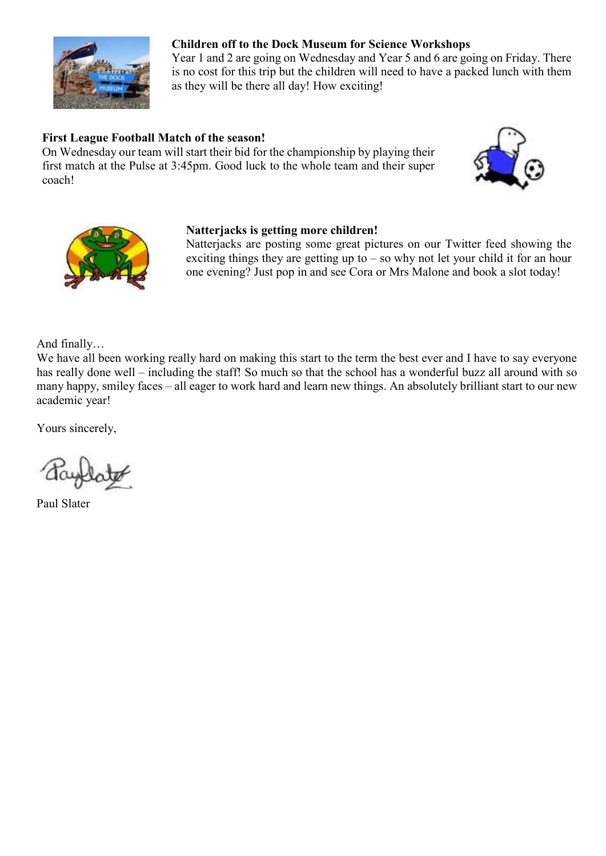

## **Children off to the Dock Museum for Science Workshops**

Year 1 and 2 are going on Wednesday and Year 5 and 6 are going on Friday. There is no cost for this trip but the children will need to have a packed lunch with them as they will be there all day! How exciting!

## **First League Football Match of the season!**

On Wednesday our team will start their bid for the championship by playing their first match at the Pulse at 3:45pm. Good luck to the whole team and their super coach!





#### **Natterjacks is getting more children!**

Natterjacks are posting some great pictures on our Twitter feed showing the exciting things they are getting up to – so why not let your child it for an hour one evening? Just pop in and see Cora or Mrs Malone and book a slot today!

And finally…

We have all been working really hard on making this start to the term the best ever and I have to say everyone has really done well – including the staff! So much so that the school has a wonderful buzz all around with so many happy, smiley faces – all eager to work hard and learn new things. An absolutely brilliant start to our new academic year!

Yours sincerely,

Paul Slater